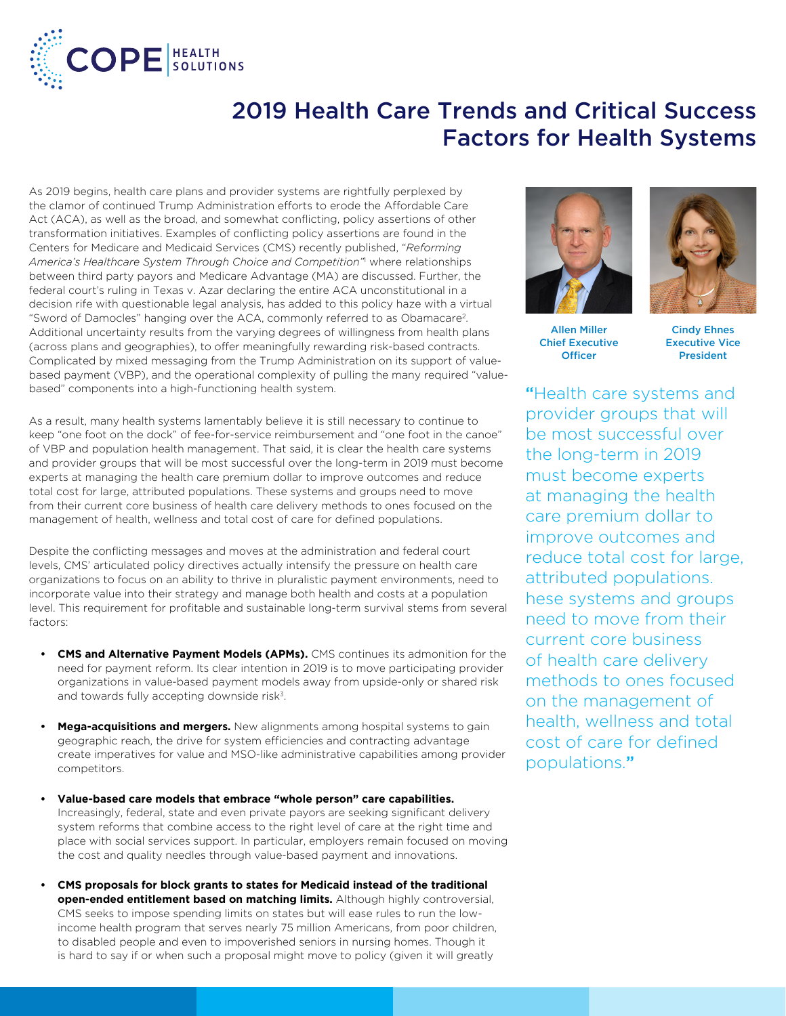

## 2019 Health Care Trends and Critical Success Factors for Health Systems

As 2019 begins, health care plans and provider systems are rightfully perplexed by the clamor of continued Trump Administration efforts to erode the Affordable Care Act (ACA), as well as the broad, and somewhat conflicting, policy assertions of other transformation initiatives. Examples of conflicting policy assertions are found in the Centers for Medicare and Medicaid Services (CMS) recently published, "*Reforming*  America's Healthcare System Through Choice and Competition<sup>'n</sup> where relationships between third party payors and Medicare Advantage (MA) are discussed. Further, the federal court's ruling in Texas v. Azar declaring the entire ACA unconstitutional in a decision rife with questionable legal analysis, has added to this policy haze with a virtual "Sword of Damocles" hanging over the ACA, commonly referred to as Obamacare2. Additional uncertainty results from the varying degrees of willingness from health plans (across plans and geographies), to offer meaningfully rewarding risk-based contracts. Complicated by mixed messaging from the Trump Administration on its support of valuebased payment (VBP), and the operational complexity of pulling the many required "valuebased" components into a high-functioning health system.

As a result, many health systems lamentably believe it is still necessary to continue to keep "one foot on the dock" of fee-for-service reimbursement and "one foot in the canoe" of VBP and population health management. That said, it is clear the health care systems and provider groups that will be most successful over the long-term in 2019 must become experts at managing the health care premium dollar to improve outcomes and reduce total cost for large, attributed populations. These systems and groups need to move from their current core business of health care delivery methods to ones focused on the management of health, wellness and total cost of care for defined populations.

Despite the conflicting messages and moves at the administration and federal court levels, CMS' articulated policy directives actually intensify the pressure on health care organizations to focus on an ability to thrive in pluralistic payment environments, need to incorporate value into their strategy and manage both health and costs at a population level. This requirement for profitable and sustainable long-term survival stems from several factors:

- **CMS and Alternative Payment Models (APMs).** CMS continues its admonition for the need for payment reform. Its clear intention in 2019 is to move participating provider organizations in value-based payment models away from upside-only or shared risk and towards fully accepting downside risk<sup>3</sup>.
- **• Mega-acquisitions and mergers.** New alignments among hospital systems to gain geographic reach, the drive for system efficiencies and contracting advantage create imperatives for value and MSO-like administrative capabilities among provider competitors.
- **• Value-based care models that embrace "whole person" care capabilities.** Increasingly, federal, state and even private payors are seeking significant delivery system reforms that combine access to the right level of care at the right time and place with social services support. In particular, employers remain focused on moving the cost and quality needles through value-based payment and innovations.
- **• CMS proposals for block grants to states for Medicaid instead of the traditional open-ended entitlement based on matching limits.** Although highly controversial, CMS seeks to impose spending limits on states but will ease rules to run the lowincome health program that serves nearly 75 million Americans, from poor children, to disabled people and even to impoverished seniors in nursing homes. Though it is hard to say if or when such a proposal might move to policy (given it will greatly



Allen Miller Chief Executive **Officer** 



Cindy Ehnes Executive Vice President

"Health care systems and provider groups that will be most successful over the long-term in 2019 must become experts at managing the health care premium dollar to improve outcomes and reduce total cost for large, attributed populations. hese systems and groups need to move from their current core business of health care delivery methods to ones focused on the management of health, wellness and total cost of care for defined populations."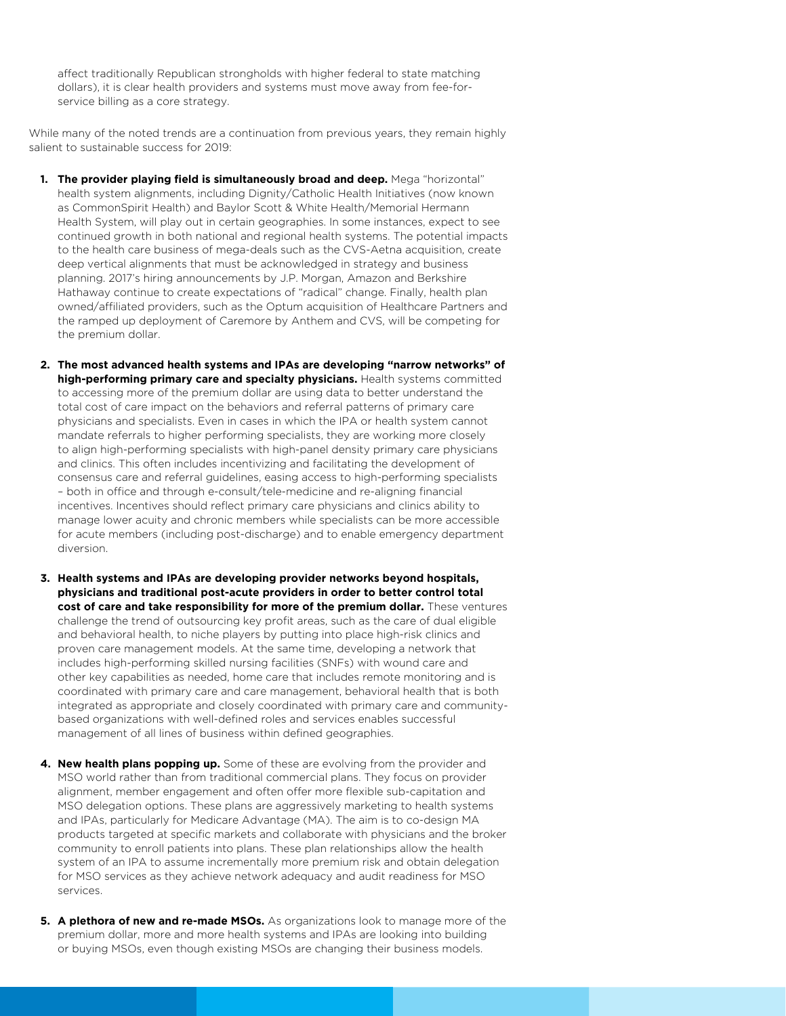affect traditionally Republican strongholds with higher federal to state matching dollars), it is clear health providers and systems must move away from fee-forservice billing as a core strategy.

While many of the noted trends are a continuation from previous years, they remain highly salient to sustainable success for 2019:

- **1. The provider playing field is simultaneously broad and deep.** Mega "horizontal" health system alignments, including Dignity/Catholic Health Initiatives (now known as CommonSpirit Health) and Baylor Scott & White Health/Memorial Hermann Health System, will play out in certain geographies. In some instances, expect to see continued growth in both national and regional health systems. The potential impacts to the health care business of mega-deals such as the CVS-Aetna acquisition, create deep vertical alignments that must be acknowledged in strategy and business planning. 2017's hiring announcements by J.P. Morgan, Amazon and Berkshire Hathaway continue to create expectations of "radical" change. Finally, health plan owned/affiliated providers, such as the Optum acquisition of Healthcare Partners and the ramped up deployment of Caremore by Anthem and CVS, will be competing for the premium dollar.
- **2. The most advanced health systems and IPAs are developing "narrow networks" of high-performing primary care and specialty physicians.** Health systems committed to accessing more of the premium dollar are using data to better understand the total cost of care impact on the behaviors and referral patterns of primary care physicians and specialists. Even in cases in which the IPA or health system cannot mandate referrals to higher performing specialists, they are working more closely to align high-performing specialists with high-panel density primary care physicians and clinics. This often includes incentivizing and facilitating the development of consensus care and referral guidelines, easing access to high-performing specialists – both in office and through e-consult/tele-medicine and re-aligning financial incentives. Incentives should reflect primary care physicians and clinics ability to manage lower acuity and chronic members while specialists can be more accessible for acute members (including post-discharge) and to enable emergency department diversion.
- **3. Health systems and IPAs are developing provider networks beyond hospitals, physicians and traditional post-acute providers in order to better control total cost of care and take responsibility for more of the premium dollar.** These ventures challenge the trend of outsourcing key profit areas, such as the care of dual eligible and behavioral health, to niche players by putting into place high-risk clinics and proven care management models. At the same time, developing a network that includes high-performing skilled nursing facilities (SNFs) with wound care and other key capabilities as needed, home care that includes remote monitoring and is coordinated with primary care and care management, behavioral health that is both integrated as appropriate and closely coordinated with primary care and communitybased organizations with well-defined roles and services enables successful management of all lines of business within defined geographies.
- **4. New health plans popping up.** Some of these are evolving from the provider and MSO world rather than from traditional commercial plans. They focus on provider alignment, member engagement and often offer more flexible sub-capitation and MSO delegation options. These plans are aggressively marketing to health systems and IPAs, particularly for Medicare Advantage (MA). The aim is to co-design MA products targeted at specific markets and collaborate with physicians and the broker community to enroll patients into plans. These plan relationships allow the health system of an IPA to assume incrementally more premium risk and obtain delegation for MSO services as they achieve network adequacy and audit readiness for MSO services.
- **5. A plethora of new and re-made MSOs.** As organizations look to manage more of the premium dollar, more and more health systems and IPAs are looking into building or buying MSOs, even though existing MSOs are changing their business models.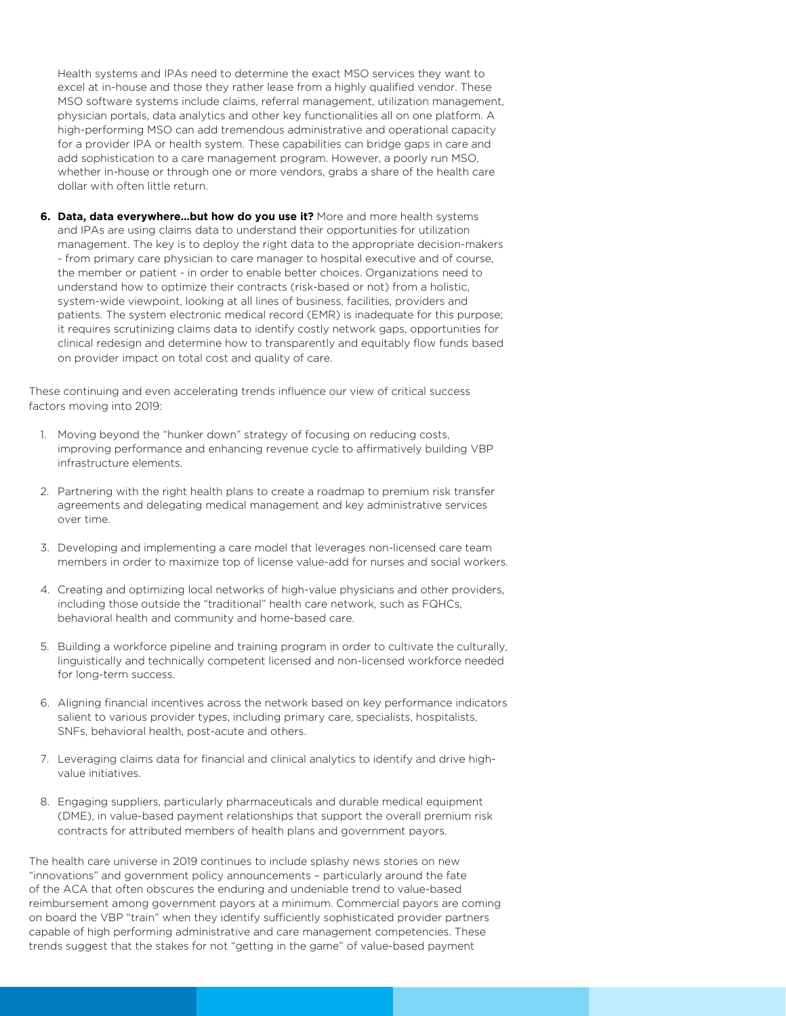Health systems and IPAs need to determine the exact MSO services they want to excel at in-house and those they rather lease from a highly qualified vendor. These MSO software systems include claims, referral management, utilization management, physician portals, data analytics and other key functionalities all on one platform. A high-performing MSO can add tremendous administrative and operational capacity for a provider IPA or health system. These capabilities can bridge gaps in care and add sophistication to a care management program. However, a poorly run MSO, whether in-house or through one or more vendors, grabs a share of the health care dollar with often little return.

**6. Data, data everywhere…but how do you use it?** More and more health systems and IPAs are using claims data to understand their opportunities for utilization management. The key is to deploy the right data to the appropriate decision-makers - from primary care physician to care manager to hospital executive and of course, the member or patient - in order to enable better choices. Organizations need to understand how to optimize their contracts (risk-based or not) from a holistic, system-wide viewpoint, looking at all lines of business, facilities, providers and patients. The system electronic medical record (EMR) is inadequate for this purpose; it requires scrutinizing claims data to identify costly network gaps, opportunities for clinical redesign and determine how to transparently and equitably flow funds based on provider impact on total cost and quality of care.

These continuing and even accelerating trends influence our view of critical success factors moving into 2019:

- 1. Moving beyond the "hunker down" strategy of focusing on reducing costs, improving performance and enhancing revenue cycle to affirmatively building VBP infrastructure elements.
- 2. Partnering with the right health plans to create a roadmap to premium risk transfer agreements and delegating medical management and key administrative services over time.
- 3. Developing and implementing a care model that leverages non-licensed care team members in order to maximize top of license value-add for nurses and social workers.
- 4. Creating and optimizing local networks of high-value physicians and other providers, including those outside the "traditional" health care network, such as FQHCs, behavioral health and community and home-based care.
- 5. Building a workforce pipeline and training program in order to cultivate the culturally, linguistically and technically competent licensed and non-licensed workforce needed for long-term success.
- 6. Aligning financial incentives across the network based on key performance indicators salient to various provider types, including primary care, specialists, hospitalists, SNFs, behavioral health, post-acute and others.
- 7. Leveraging claims data for financial and clinical analytics to identify and drive highvalue initiatives.
- 8. Engaging suppliers, particularly pharmaceuticals and durable medical equipment (DME), in value-based payment relationships that support the overall premium risk contracts for attributed members of health plans and government payors.

The health care universe in 2019 continues to include splashy news stories on new "innovations" and government policy announcements – particularly around the fate of the ACA that often obscures the enduring and undeniable trend to value-based reimbursement among government payors at a minimum. Commercial payors are coming on board the VBP "train" when they identify sufficiently sophisticated provider partners capable of high performing administrative and care management competencies. These trends suggest that the stakes for not "getting in the game" of value-based payment